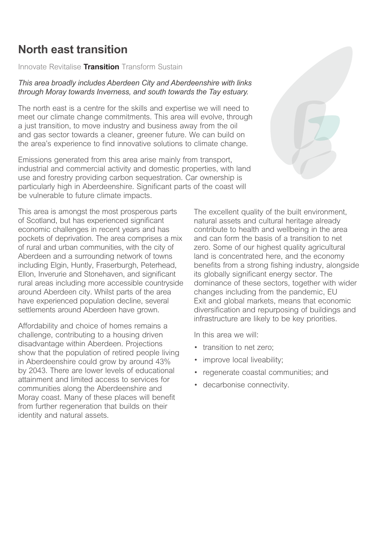# **North east transition**

*Innovate Revitalise* **Transition** *Transform Sustain*

## *This area broadly includes Aberdeen City and Aberdeenshire with links through Moray towards Inverness, and south towards the Tay estuary.*

*The north east is a centre for the skills and expertise we will need to meet our climate change commitments. This area will evolve, through a just transition, to move industry and business away from the oil and gas sector towards a cleaner, greener future. We can build on the area's experience to find innovative solutions to climate change.*

*Emissions generated from this area arise mainly from transport, industrial and commercial activity and domestic properties, with land use and forestry providing carbon sequestration. Car ownership is*  particularly high in Aberdeenshire. Significant parts of the coast will *be vulnerable to future climate impacts.*

*This area is amongst the most prosperous parts of Scotland, but has experienced significant economic challenges in recent years and has pockets of deprivation. The area comprises a mix of rural and urban communities, with the city of Aberdeen and a surrounding network of towns including Elgin, Huntly, Fraserburgh, Peterhead, Ellon, Inverurie and Stonehaven, and significant rural areas including more accessible countryside around Aberdeen city. Whilst parts of the area have experienced population decline, several settlements around Aberdeen have grown.*

*Affordability and choice of homes remains a challenge, contributing to a housing driven disadvantage within Aberdeen. Projections show that the population of retired people living in Aberdeenshire could grow by around 43% by 2043. There are lower levels of educational attainment and limited access to services for communities along the Aberdeenshire and Moray coast. Many of these places will benefit from further regeneration that builds on their identity and natural assets.*



*The excellent quality of the built environment, natural assets and cultural heritage already contribute to health and wellbeing in the area and can form the basis of a transition to net zero. Some of our highest quality agricultural land is concentrated here, and the economy benefits from a strong fishing industry, alongside its globally significant energy sector. The dominance of these sectors, together with wider changes including from the pandemic, EU Exit and global markets, means that economic diversification and repurposing of buildings and infrastructure are likely to be key priorities.*

*In this area we will:*

- *• transition to net zero;*
- *• improve local liveability;*
- *• regenerate coastal communities; and*
- *• decarbonise connectivity.*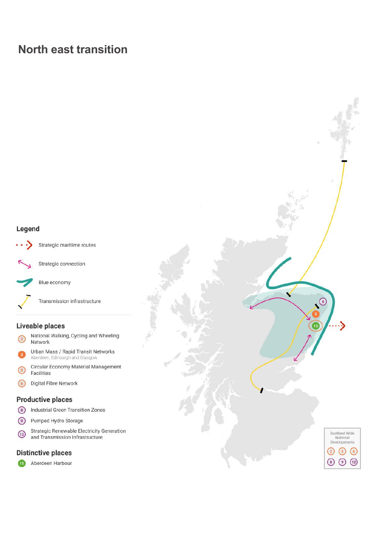# **North east transition**

### Legend



Strategic maritime routes



Strategic connection

Blue economy

Transmission infrastructure

### Liveable places

- National Walking, Cycling and Wheeling  $\sqrt{2}$ Network
- Urban Mass / Rapid Transit Networks Aberdeen, Edinburgh and Glasgow
- Circular Economy Material Management  $\binom{5}{5}$ Facilities
- Digital Fibre Network  $\odot$

#### **Productive places**

- $\odot$ **Industrial Green Transition Zones**
- Pumped Hydro Storage  $\odot$
- **Strategic Renewable Electricity Generation**  $\bigcirc$ and Transmission Infrastructure

#### **Distinctive places**

Aberdeen Harbour  $\overline{15}$ 

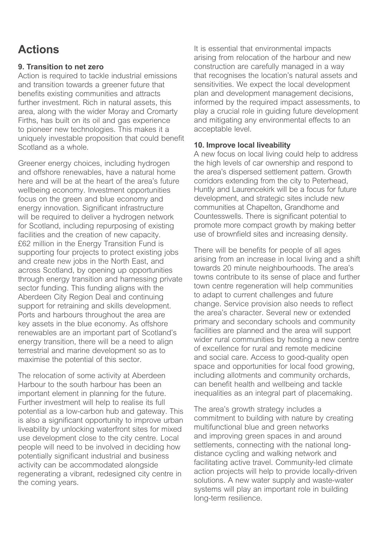# **Actions**

# **9. Transition to net zero**

*Action is required to tackle industrial emissions and transition towards a greener future that benefits existing communities and attracts further investment. Rich in natural assets, this area, along with the wider Moray and Cromarty Firths, has built on its oil and gas experience to pioneer new technologies. This makes it a uniquely investable proposition that could benefit Scotland as a whole.*

*Greener energy choices, including hydrogen and offshore renewables, have a natural home here and will be at the heart of the area's future wellbeing economy. Investment opportunities focus on the green and blue economy and energy innovation. Significant infrastructure will be required to deliver a hydrogen network*  for Scotland, including repurposing of existing *facilities and the creation of new capacity. £62 million in the Energy Transition Fund is supporting four projects to protect existing jobs and create new jobs in the North East, and across Scotland, by opening up opportunities through energy transition and harnessing private sector funding. This funding aligns with the Aberdeen City Region Deal and continuing support for retraining and skills development. Ports and harbours throughout the area are key assets in the blue economy. As offshore renewables are an important part of Scotland's energy transition, there will be a need to align terrestrial and marine development so as to maximise the potential of this sector.*

*The relocation of some activity at Aberdeen Harbour to the south harbour has been an important element in planning for the future. Further investment will help to realise its full potential as a low-carbon hub and gateway. This is also a significant opportunity to improve urban liveability by unlocking waterfront sites for mixed use development close to the city centre. Local people will need to be involved in deciding how potentially significant industrial and business activity can be accommodated alongside regenerating a vibrant, redesigned city centre in the coming years.*

*It is essential that environmental impacts arising from relocation of the harbour and new construction are carefully managed in a way that recognises the location's natural assets and sensitivities. We expect the local development plan and development management decisions, informed by the required impact assessments, to play a crucial role in guiding future development and mitigating any environmental effects to an acceptable level.*

## **10. Improve local liveability**

*A new focus on local living could help to address the high levels of car ownership and respond to the area's dispersed settlement pattern. Growth corridors extending from the city to Peterhead, Huntly and Laurencekirk will be a focus for future development, and strategic sites include new communities at Chapelton, Grandhome and Countesswells. There is significant potential to promote more compact growth by making better use of brownfield sites and increasing density.*

*There will be benefits for people of all ages arising from an increase in local living and a shift towards 20 minute neighbourhoods. The area's towns contribute to its sense of place and further town centre regeneration will help communities to adapt to current challenges and future change. Service provision also needs to reflect the area's character. Several new or extended primary and secondary schools and community facilities are planned and the area will support wider rural communities by hosting a new centre of excellence for rural and remote medicine and social care. Access to good-quality open space and opportunities for local food growing, including allotments and community orchards, can benefit health and wellbeing and tackle inequalities as an integral part of placemaking.*

*The area's growth strategy includes a commitment to building with nature by creating multifunctional blue and green networks and improving green spaces in and around settlements, connecting with the national longdistance cycling and walking network and facilitating active travel. Community-led climate action projects will help to provide locally-driven solutions. A new water supply and waste-water systems will play an important role in building long-term resilience.*